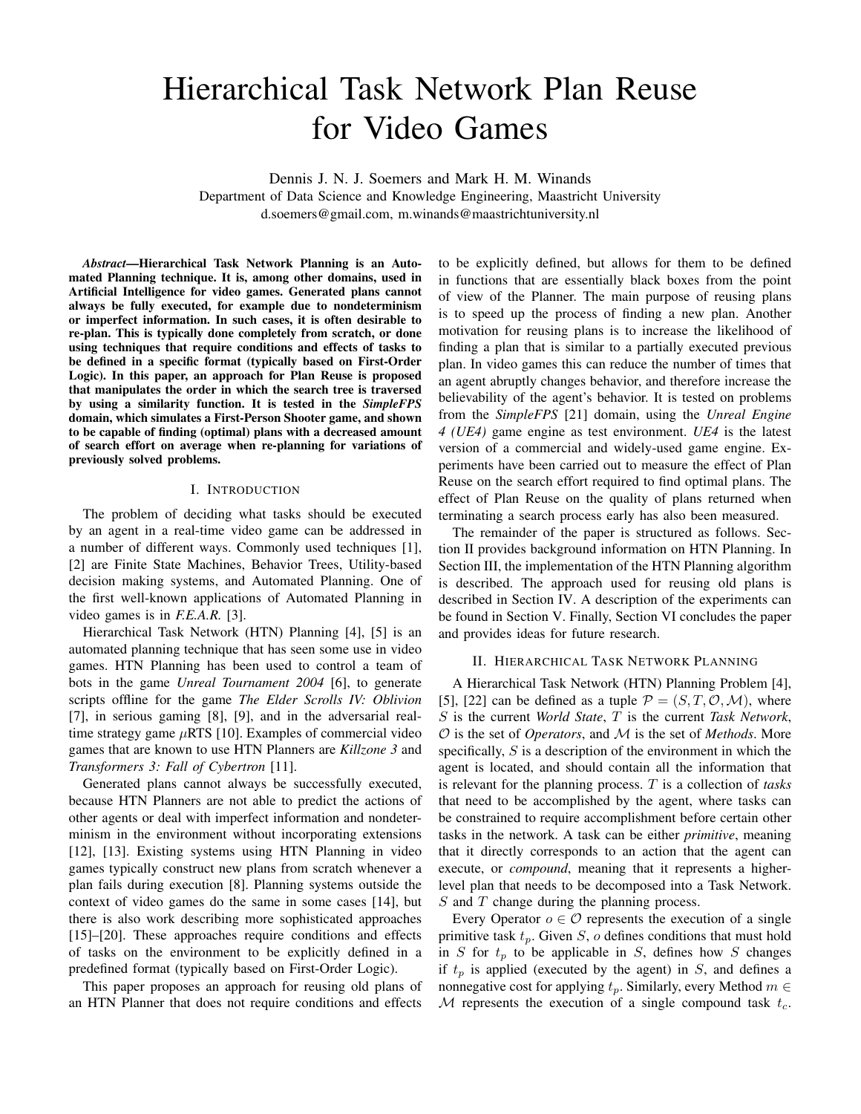# Hierarchical Task Network Plan Reuse for Video Games

Dennis J. N. J. Soemers and Mark H. M. Winands

Department of Data Science and Knowledge Engineering, Maastricht University d.soemers@gmail.com, m.winands@maastrichtuniversity.nl

*Abstract*—Hierarchical Task Network Planning is an Automated Planning technique. It is, among other domains, used in Artificial Intelligence for video games. Generated plans cannot always be fully executed, for example due to nondeterminism or imperfect information. In such cases, it is often desirable to re-plan. This is typically done completely from scratch, or done using techniques that require conditions and effects of tasks to be defined in a specific format (typically based on First-Order Logic). In this paper, an approach for Plan Reuse is proposed that manipulates the order in which the search tree is traversed by using a similarity function. It is tested in the *SimpleFPS* domain, which simulates a First-Person Shooter game, and shown to be capable of finding (optimal) plans with a decreased amount of search effort on average when re-planning for variations of previously solved problems.

# I. INTRODUCTION

The problem of deciding what tasks should be executed by an agent in a real-time video game can be addressed in a number of different ways. Commonly used techniques [1], [2] are Finite State Machines, Behavior Trees, Utility-based decision making systems, and Automated Planning. One of the first well-known applications of Automated Planning in video games is in *F.E.A.R.* [3].

Hierarchical Task Network (HTN) Planning [4], [5] is an automated planning technique that has seen some use in video games. HTN Planning has been used to control a team of bots in the game *Unreal Tournament 2004* [6], to generate scripts offline for the game *The Elder Scrolls IV: Oblivion* [7], in serious gaming [8], [9], and in the adversarial realtime strategy game  $\mu$ RTS [10]. Examples of commercial video games that are known to use HTN Planners are *Killzone 3* and *Transformers 3: Fall of Cybertron* [11].

Generated plans cannot always be successfully executed, because HTN Planners are not able to predict the actions of other agents or deal with imperfect information and nondeterminism in the environment without incorporating extensions [12], [13]. Existing systems using HTN Planning in video games typically construct new plans from scratch whenever a plan fails during execution [8]. Planning systems outside the context of video games do the same in some cases [14], but there is also work describing more sophisticated approaches [15]–[20]. These approaches require conditions and effects of tasks on the environment to be explicitly defined in a predefined format (typically based on First-Order Logic).

This paper proposes an approach for reusing old plans of an HTN Planner that does not require conditions and effects to be explicitly defined, but allows for them to be defined in functions that are essentially black boxes from the point of view of the Planner. The main purpose of reusing plans is to speed up the process of finding a new plan. Another motivation for reusing plans is to increase the likelihood of finding a plan that is similar to a partially executed previous plan. In video games this can reduce the number of times that an agent abruptly changes behavior, and therefore increase the believability of the agent's behavior. It is tested on problems from the *SimpleFPS* [21] domain, using the *Unreal Engine 4 (UE4)* game engine as test environment. *UE4* is the latest version of a commercial and widely-used game engine. Experiments have been carried out to measure the effect of Plan Reuse on the search effort required to find optimal plans. The effect of Plan Reuse on the quality of plans returned when terminating a search process early has also been measured.

The remainder of the paper is structured as follows. Section II provides background information on HTN Planning. In Section III, the implementation of the HTN Planning algorithm is described. The approach used for reusing old plans is described in Section IV. A description of the experiments can be found in Section V. Finally, Section VI concludes the paper and provides ideas for future research.

#### II. HIERARCHICAL TASK NETWORK PLANNING

A Hierarchical Task Network (HTN) Planning Problem [4], [5], [22] can be defined as a tuple  $P = (S, T, \mathcal{O}, \mathcal{M})$ , where S is the current *World State*, T is the current *Task Network*, O is the set of *Operators*, and M is the set of *Methods*. More specifically,  $S$  is a description of the environment in which the agent is located, and should contain all the information that is relevant for the planning process. T is a collection of *tasks* that need to be accomplished by the agent, where tasks can be constrained to require accomplishment before certain other tasks in the network. A task can be either *primitive*, meaning that it directly corresponds to an action that the agent can execute, or *compound*, meaning that it represents a higherlevel plan that needs to be decomposed into a Task Network. S and T change during the planning process.

Every Operator  $o \in \mathcal{O}$  represents the execution of a single primitive task  $t_p$ . Given S, o defines conditions that must hold in S for  $t_p$  to be applicable in S, defines how S changes if  $t_p$  is applied (executed by the agent) in  $S$ , and defines a nonnegative cost for applying  $t_p$ . Similarly, every Method  $m \in$ M represents the execution of a single compound task  $t_c$ .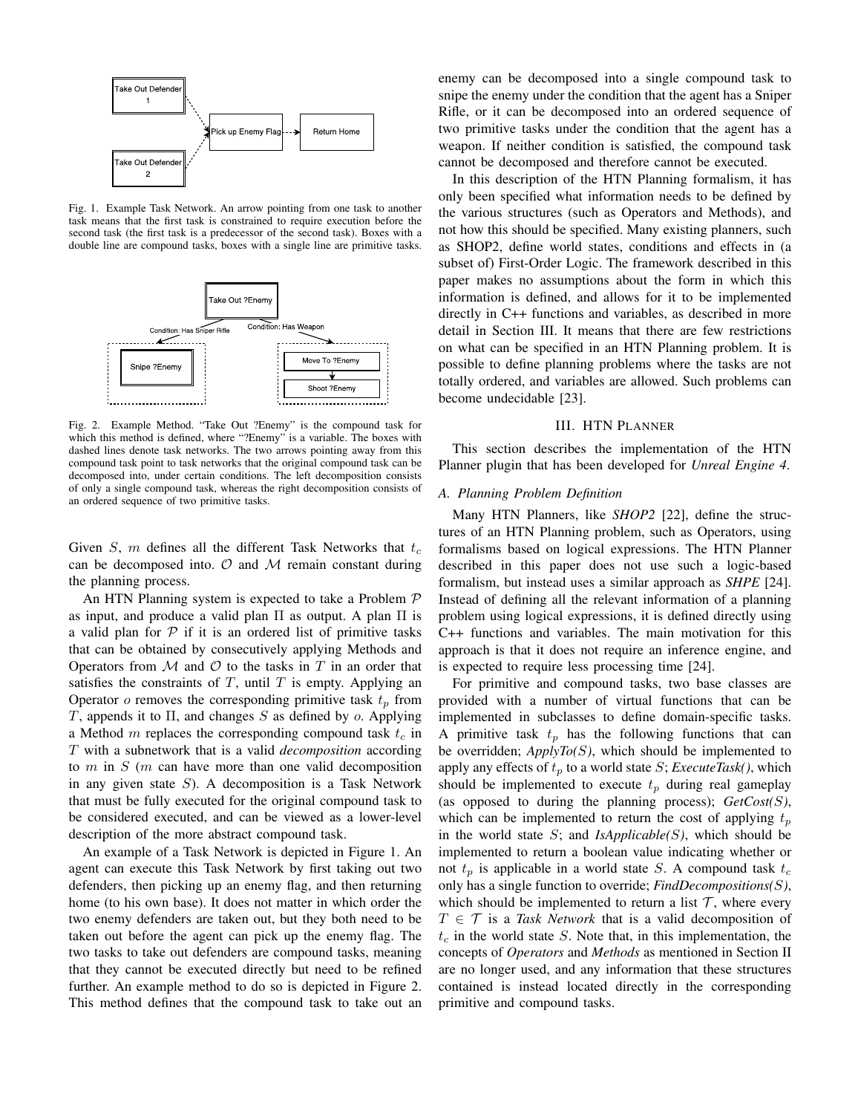

Fig. 1. Example Task Network. An arrow pointing from one task to another task means that the first task is constrained to require execution before the second task (the first task is a predecessor of the second task). Boxes with a double line are compound tasks, boxes with a single line are primitive tasks.



Fig. 2. Example Method. "Take Out ?Enemy" is the compound task for which this method is defined, where "?Enemy" is a variable. The boxes with dashed lines denote task networks. The two arrows pointing away from this compound task point to task networks that the original compound task can be decomposed into, under certain conditions. The left decomposition consists of only a single compound task, whereas the right decomposition consists of an ordered sequence of two primitive tasks.

Given S, m defines all the different Task Networks that  $t_c$ can be decomposed into.  $\mathcal O$  and  $\mathcal M$  remain constant during the planning process.

An HTN Planning system is expected to take a Problem P as input, and produce a valid plan  $\Pi$  as output. A plan  $\Pi$  is a valid plan for  $P$  if it is an ordered list of primitive tasks that can be obtained by consecutively applying Methods and Operators from  $M$  and  $O$  to the tasks in  $T$  in an order that satisfies the constraints of  $T$ , until  $T$  is empty. Applying an Operator  $\sigma$  removes the corresponding primitive task  $t_p$  from T, appends it to  $\Pi$ , and changes S as defined by o. Applying a Method m replaces the corresponding compound task  $t_c$  in T with a subnetwork that is a valid *decomposition* according to  $m$  in  $S$  ( $m$  can have more than one valid decomposition in any given state  $S$ ). A decomposition is a Task Network that must be fully executed for the original compound task to be considered executed, and can be viewed as a lower-level description of the more abstract compound task.

An example of a Task Network is depicted in Figure 1. An agent can execute this Task Network by first taking out two defenders, then picking up an enemy flag, and then returning home (to his own base). It does not matter in which order the two enemy defenders are taken out, but they both need to be taken out before the agent can pick up the enemy flag. The two tasks to take out defenders are compound tasks, meaning that they cannot be executed directly but need to be refined further. An example method to do so is depicted in Figure 2. This method defines that the compound task to take out an enemy can be decomposed into a single compound task to snipe the enemy under the condition that the agent has a Sniper Rifle, or it can be decomposed into an ordered sequence of two primitive tasks under the condition that the agent has a weapon. If neither condition is satisfied, the compound task cannot be decomposed and therefore cannot be executed.

In this description of the HTN Planning formalism, it has only been specified what information needs to be defined by the various structures (such as Operators and Methods), and not how this should be specified. Many existing planners, such as SHOP2, define world states, conditions and effects in (a subset of) First-Order Logic. The framework described in this paper makes no assumptions about the form in which this information is defined, and allows for it to be implemented directly in C++ functions and variables, as described in more detail in Section III. It means that there are few restrictions on what can be specified in an HTN Planning problem. It is possible to define planning problems where the tasks are not totally ordered, and variables are allowed. Such problems can become undecidable [23].

#### III. HTN PLANNER

This section describes the implementation of the HTN Planner plugin that has been developed for *Unreal Engine 4*.

# *A. Planning Problem Definition*

Many HTN Planners, like *SHOP2* [22], define the structures of an HTN Planning problem, such as Operators, using formalisms based on logical expressions. The HTN Planner described in this paper does not use such a logic-based formalism, but instead uses a similar approach as *SHPE* [24]. Instead of defining all the relevant information of a planning problem using logical expressions, it is defined directly using C++ functions and variables. The main motivation for this approach is that it does not require an inference engine, and is expected to require less processing time [24].

For primitive and compound tasks, two base classes are provided with a number of virtual functions that can be implemented in subclasses to define domain-specific tasks. A primitive task  $t_p$  has the following functions that can be overridden; *ApplyTo(*S*)*, which should be implemented to apply any effects of  $t_p$  to a world state S; *ExecuteTask()*, which should be implemented to execute  $t_p$  during real gameplay (as opposed to during the planning process); *GetCost(*S*)*, which can be implemented to return the cost of applying  $t_p$ in the world state  $S$ ; and  $IsApplied(s)$ , which should be implemented to return a boolean value indicating whether or not  $t_p$  is applicable in a world state S. A compound task  $t_c$ only has a single function to override; *FindDecompositions(*S*)*, which should be implemented to return a list  $\mathcal{T}$ , where every  $T \in \mathcal{T}$  is a *Task Network* that is a valid decomposition of  $t_c$  in the world state S. Note that, in this implementation, the concepts of *Operators* and *Methods* as mentioned in Section II are no longer used, and any information that these structures contained is instead located directly in the corresponding primitive and compound tasks.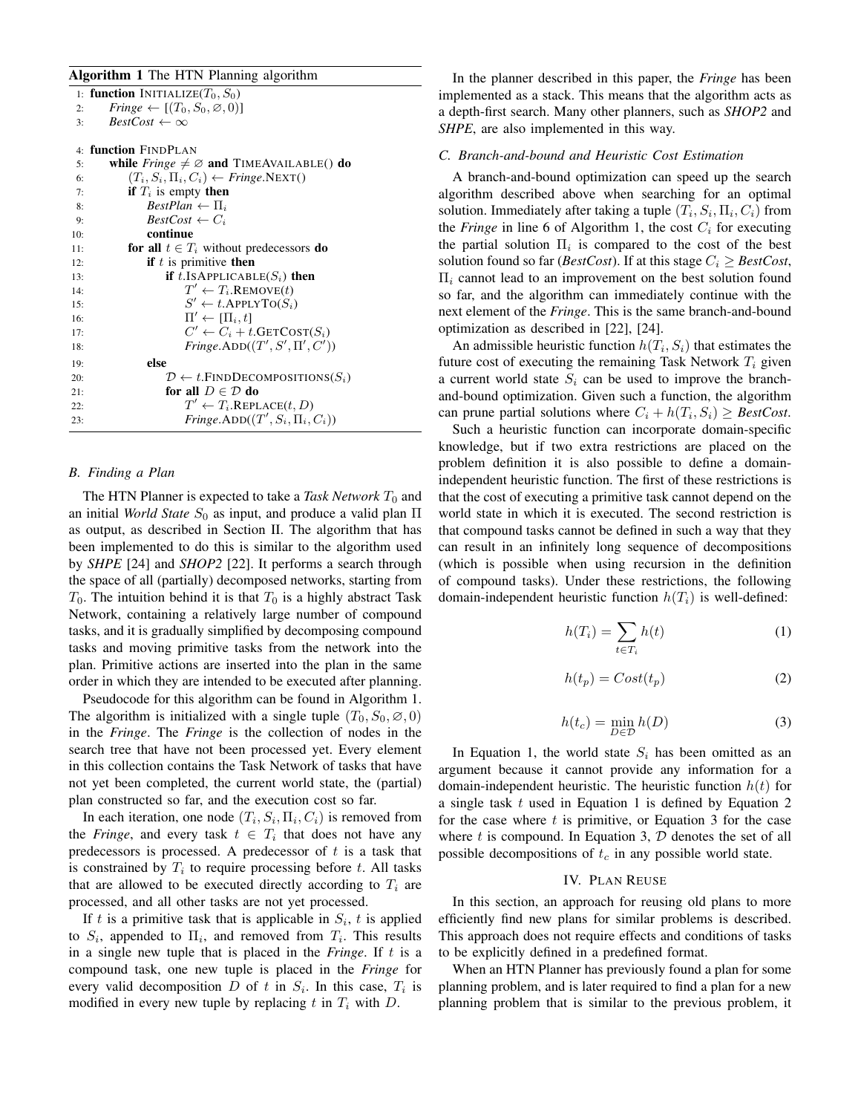# Algorithm 1 The HTN Planning algorithm

|     | 1: function INITIALIZE( $T_0$ , $S_0$ )                     |
|-----|-------------------------------------------------------------|
| 2:  | <i>Fringe</i> $\leftarrow$ [ $(T_0, S_0, \emptyset, 0)$ ]   |
| 3:  | $BestCost \leftarrow \infty$                                |
|     |                                                             |
|     | 4: <b>function</b> FINDPLAN                                 |
| 5:  | while <i>Fringe</i> $\neq \emptyset$ and TIMEAVAILABLE() do |
| 6:  | $(T_i, S_i, \Pi_i, C_i) \leftarrow Fringe.NEXT()$           |
| 7:  | <b>if</b> $T_i$ is empty <b>then</b>                        |
| 8:  | $BestPlan \leftarrow \Pi_i$                                 |
| 9:  | $BestCost \leftarrow C_i$                                   |
| 10: | continue                                                    |
| 11: | for all $t \in T_i$ without predecessors do                 |
| 12: | <b>if</b> $t$ is primitive <b>then</b>                      |
| 13: | <b>if</b> t.ISAPPLICABLE( $S_i$ ) then                      |
| 14: | $T' \leftarrow T_i$ . REMOVE $(t)$                          |
| 15: | $S' \leftarrow t$ . APPLY TO( $S_i$ )                       |
| 16: | $\Pi' \leftarrow [\Pi_i, t]$                                |
| 17: | $C' \leftarrow C_i + t$ .GETCOST $(S_i)$                    |
| 18: | $\text{Fringe.ADD}((T', S', \Pi', C'))$                     |
| 19: | else                                                        |
| 20: | $\mathcal{D} \leftarrow t$ . FIND DECOMPOSITIONS( $S_i$ )   |
| 21: | for all $D \in \mathcal{D}$ do                              |
| 22: | $T' \leftarrow T_i$ .REPLACE $(t, D)$                       |
| 23: | Fringe.ADD $((T', S_i, \Pi_i, C_i))$                        |
|     |                                                             |

# *B. Finding a Plan*

The HTN Planner is expected to take a *Task Network*  $T_0$  and an initial *World State*  $S_0$  as input, and produce a valid plan  $\Pi$ as output, as described in Section II. The algorithm that has been implemented to do this is similar to the algorithm used by *SHPE* [24] and *SHOP2* [22]. It performs a search through the space of all (partially) decomposed networks, starting from  $T_0$ . The intuition behind it is that  $T_0$  is a highly abstract Task Network, containing a relatively large number of compound tasks, and it is gradually simplified by decomposing compound tasks and moving primitive tasks from the network into the plan. Primitive actions are inserted into the plan in the same order in which they are intended to be executed after planning.

Pseudocode for this algorithm can be found in Algorithm 1. The algorithm is initialized with a single tuple  $(T_0, S_0, \emptyset, 0)$ in the *Fringe*. The *Fringe* is the collection of nodes in the search tree that have not been processed yet. Every element in this collection contains the Task Network of tasks that have not yet been completed, the current world state, the (partial) plan constructed so far, and the execution cost so far.

In each iteration, one node  $(T_i, S_i, \Pi_i, C_i)$  is removed from the *Fringe*, and every task  $t \in T_i$  that does not have any predecessors is processed. A predecessor of  $t$  is a task that is constrained by  $T_i$  to require processing before t. All tasks that are allowed to be executed directly according to  $T_i$  are processed, and all other tasks are not yet processed.

If t is a primitive task that is applicable in  $S_i$ , t is applied to  $S_i$ , appended to  $\Pi_i$ , and removed from  $T_i$ . This results in a single new tuple that is placed in the *Fringe*. If t is a compound task, one new tuple is placed in the *Fringe* for every valid decomposition  $D$  of  $t$  in  $S_i$ . In this case,  $T_i$  is modified in every new tuple by replacing t in  $T_i$  with D.

In the planner described in this paper, the *Fringe* has been implemented as a stack. This means that the algorithm acts as a depth-first search. Many other planners, such as *SHOP2* and *SHPE*, are also implemented in this way.

# *C. Branch-and-bound and Heuristic Cost Estimation*

A branch-and-bound optimization can speed up the search algorithm described above when searching for an optimal solution. Immediately after taking a tuple  $(T_i, S_i, \Pi_i, C_i)$  from the *Fringe* in line 6 of Algorithm 1, the cost  $C_i$  for executing the partial solution  $\Pi_i$  is compared to the cost of the best solution found so far (*BestCost*). If at this stage  $C_i \geq$  *BestCost*,  $\Pi_i$  cannot lead to an improvement on the best solution found so far, and the algorithm can immediately continue with the next element of the *Fringe*. This is the same branch-and-bound optimization as described in [22], [24].

An admissible heuristic function  $h(T_i, S_i)$  that estimates the future cost of executing the remaining Task Network  $T_i$  given a current world state  $S_i$  can be used to improve the branchand-bound optimization. Given such a function, the algorithm can prune partial solutions where  $C_i + h(T_i, S_i) \geq BestCost$ .

Such a heuristic function can incorporate domain-specific knowledge, but if two extra restrictions are placed on the problem definition it is also possible to define a domainindependent heuristic function. The first of these restrictions is that the cost of executing a primitive task cannot depend on the world state in which it is executed. The second restriction is that compound tasks cannot be defined in such a way that they can result in an infinitely long sequence of decompositions (which is possible when using recursion in the definition of compound tasks). Under these restrictions, the following domain-independent heuristic function  $h(T_i)$  is well-defined:

$$
h(T_i) = \sum_{t \in T_i} h(t) \tag{1}
$$

$$
h(t_p) = Cost(t_p) \tag{2}
$$

$$
h(t_c) = \min_{D \in \mathcal{D}} h(D) \tag{3}
$$

In Equation 1, the world state  $S_i$  has been omitted as an argument because it cannot provide any information for a domain-independent heuristic. The heuristic function  $h(t)$  for a single task  $t$  used in Equation 1 is defined by Equation 2 for the case where  $t$  is primitive, or Equation 3 for the case where  $t$  is compound. In Equation 3,  $D$  denotes the set of all possible decompositions of  $t_c$  in any possible world state.

# IV. PLAN REUSE

In this section, an approach for reusing old plans to more efficiently find new plans for similar problems is described. This approach does not require effects and conditions of tasks to be explicitly defined in a predefined format.

When an HTN Planner has previously found a plan for some planning problem, and is later required to find a plan for a new planning problem that is similar to the previous problem, it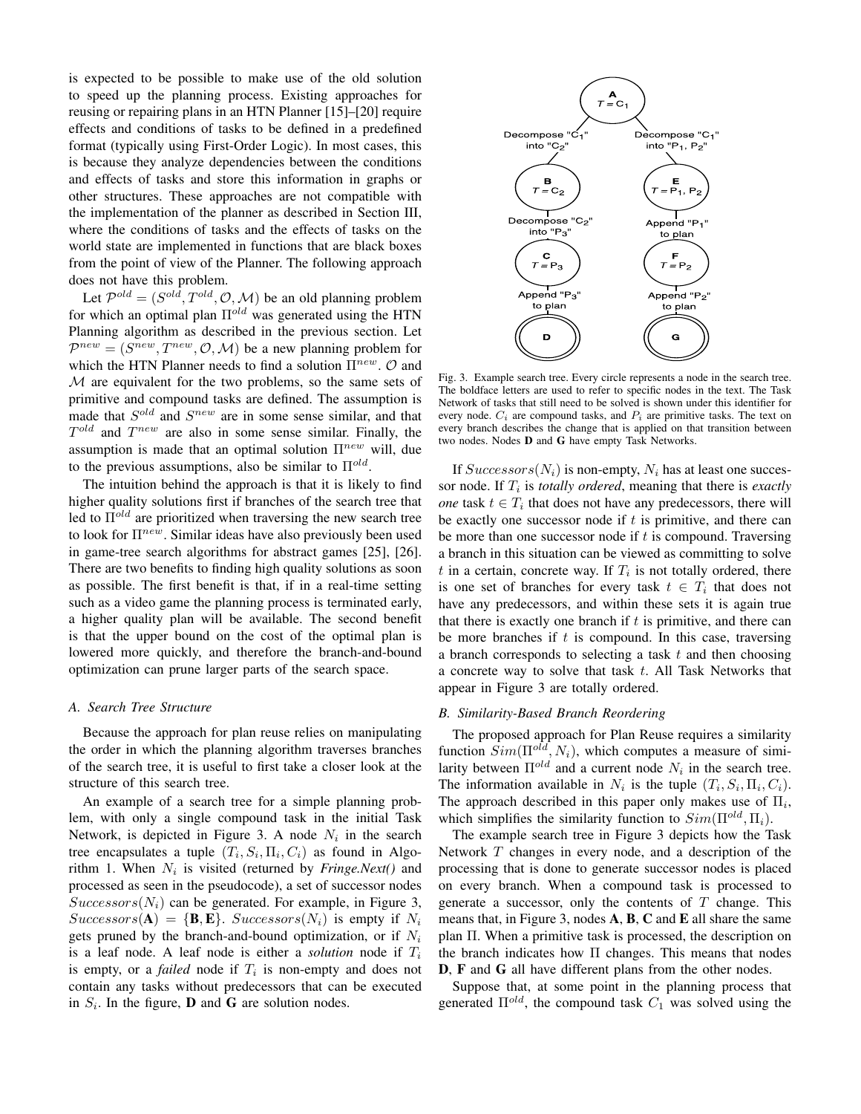is expected to be possible to make use of the old solution to speed up the planning process. Existing approaches for reusing or repairing plans in an HTN Planner [15]–[20] require effects and conditions of tasks to be defined in a predefined format (typically using First-Order Logic). In most cases, this is because they analyze dependencies between the conditions and effects of tasks and store this information in graphs or other structures. These approaches are not compatible with the implementation of the planner as described in Section III, where the conditions of tasks and the effects of tasks on the world state are implemented in functions that are black boxes from the point of view of the Planner. The following approach does not have this problem.

Let  $\mathcal{P}^{old} = (S^{old}, T^{old}, \mathcal{O}, \mathcal{M})$  be an old planning problem for which an optimal plan  $\Pi^{old}$  was generated using the HTN Planning algorithm as described in the previous section. Let  $\mathcal{P}^{new} = (S^{new}, T^{new}, \mathcal{O}, \mathcal{M})$  be a new planning problem for which the HTN Planner needs to find a solution  $\Pi^{new}$ .  $O$  and M are equivalent for the two problems, so the same sets of primitive and compound tasks are defined. The assumption is made that  $S^{old}$  and  $S^{new}$  are in some sense similar, and that  $T^{old}$  and  $T^{new}$  are also in some sense similar. Finally, the assumption is made that an optimal solution  $\Pi^{new}$  will, due to the previous assumptions, also be similar to  $\Pi^{old}$ .

The intuition behind the approach is that it is likely to find higher quality solutions first if branches of the search tree that led to  $\Pi^{old}$  are prioritized when traversing the new search tree to look for  $\Pi^{new}$ . Similar ideas have also previously been used in game-tree search algorithms for abstract games [25], [26]. There are two benefits to finding high quality solutions as soon as possible. The first benefit is that, if in a real-time setting such as a video game the planning process is terminated early, a higher quality plan will be available. The second benefit is that the upper bound on the cost of the optimal plan is lowered more quickly, and therefore the branch-and-bound optimization can prune larger parts of the search space.

#### *A. Search Tree Structure*

Because the approach for plan reuse relies on manipulating the order in which the planning algorithm traverses branches of the search tree, it is useful to first take a closer look at the structure of this search tree.

An example of a search tree for a simple planning problem, with only a single compound task in the initial Task Network, is depicted in Figure 3. A node  $N_i$  in the search tree encapsulates a tuple  $(T_i, S_i, \Pi_i, C_i)$  as found in Algorithm 1. When  $N_i$  is visited (returned by *Fringe.Next*() and processed as seen in the pseudocode), a set of successor nodes  $Successors(N<sub>i</sub>)$  can be generated. For example, in Figure 3,  $Successors(A) = {B, E}. Successors(N<sub>i</sub>)$  is empty if  $N<sub>i</sub>$ gets pruned by the branch-and-bound optimization, or if  $N_i$ is a leaf node. A leaf node is either a *solution* node if  $T_i$ is empty, or a *failed* node if  $T_i$  is non-empty and does not contain any tasks without predecessors that can be executed in  $S_i$ . In the figure, **D** and **G** are solution nodes.



Fig. 3. Example search tree. Every circle represents a node in the search tree. The boldface letters are used to refer to specific nodes in the text. The Task Network of tasks that still need to be solved is shown under this identifier for every node.  $C_i$  are compound tasks, and  $P_i$  are primitive tasks. The text on every branch describes the change that is applied on that transition between two nodes. Nodes D and G have empty Task Networks.

If  $Successors(N_i)$  is non-empty,  $N_i$  has at least one successor node. If  $T_i$  is *totally ordered*, meaning that there is *exactly one* task  $t \in T_i$  that does not have any predecessors, there will be exactly one successor node if  $t$  is primitive, and there can be more than one successor node if  $t$  is compound. Traversing a branch in this situation can be viewed as committing to solve t in a certain, concrete way. If  $T_i$  is not totally ordered, there is one set of branches for every task  $t \in T_i$  that does not have any predecessors, and within these sets it is again true that there is exactly one branch if  $t$  is primitive, and there can be more branches if  $t$  is compound. In this case, traversing a branch corresponds to selecting a task  $t$  and then choosing a concrete way to solve that task  $t$ . All Task Networks that appear in Figure 3 are totally ordered.

# *B. Similarity-Based Branch Reordering*

The proposed approach for Plan Reuse requires a similarity function  $Sim(\Pi^{old}, N_i)$ , which computes a measure of similarity between  $\Pi^{old}$  and a current node  $N_i$  in the search tree. The information available in  $N_i$  is the tuple  $(T_i, S_i, \Pi_i, C_i)$ . The approach described in this paper only makes use of  $\Pi_i$ , which simplifies the similarity function to  $Sim(\Pi^{old}, \Pi_i)$ .

The example search tree in Figure 3 depicts how the Task Network T changes in every node, and a description of the processing that is done to generate successor nodes is placed on every branch. When a compound task is processed to generate a successor, only the contents of  $T$  change. This means that, in Figure 3, nodes A, B, C and E all share the same plan Π. When a primitive task is processed, the description on the branch indicates how  $\Pi$  changes. This means that nodes D, F and G all have different plans from the other nodes.

Suppose that, at some point in the planning process that generated  $\Pi^{old}$ , the compound task  $C_1$  was solved using the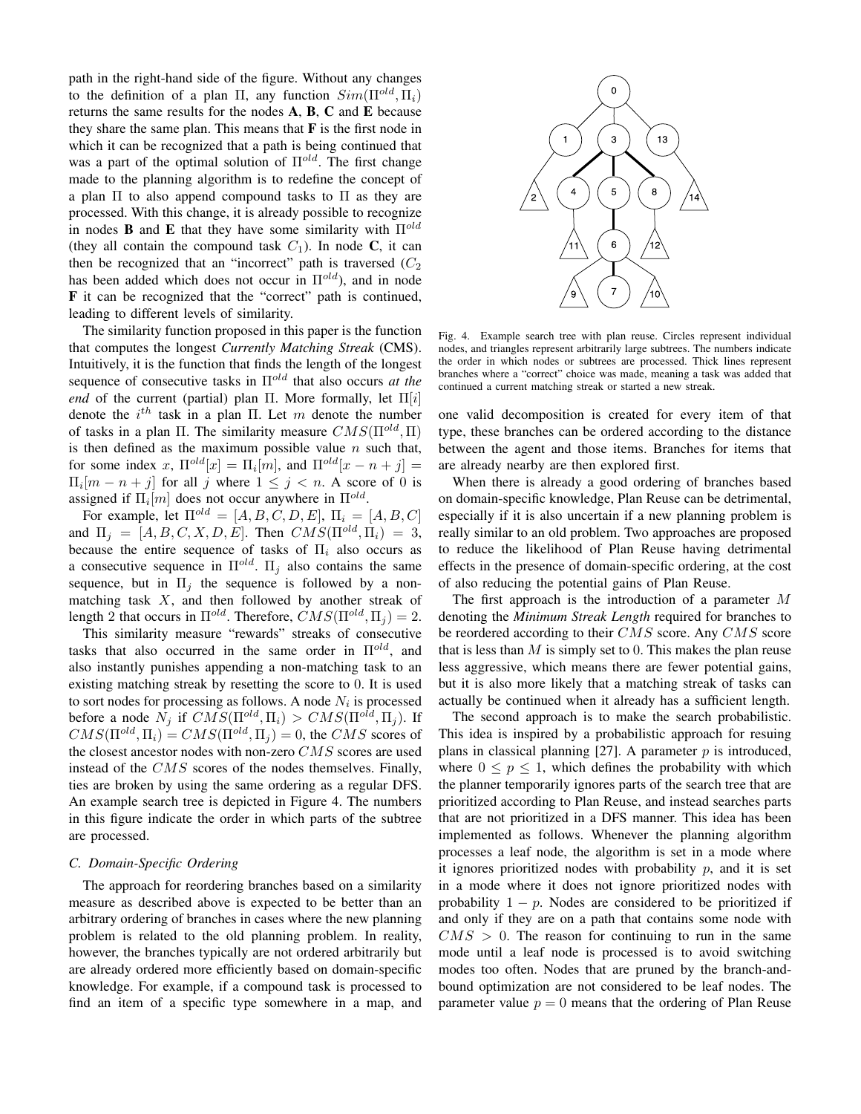path in the right-hand side of the figure. Without any changes to the definition of a plan  $\Pi$ , any function  $Sim(\Pi^{old}, \Pi_i)$ returns the same results for the nodes A, B, C and E because they share the same plan. This means that  $\bf{F}$  is the first node in which it can be recognized that a path is being continued that was a part of the optimal solution of  $\Pi^{old}$ . The first change made to the planning algorithm is to redefine the concept of a plan  $\Pi$  to also append compound tasks to  $\Pi$  as they are processed. With this change, it is already possible to recognize in nodes **B** and **E** that they have some similarity with  $\Pi^{old}$ (they all contain the compound task  $C_1$ ). In node C, it can then be recognized that an "incorrect" path is traversed  $(C_2)$ has been added which does not occur in  $\Pi^{old}$ ), and in node F it can be recognized that the "correct" path is continued, leading to different levels of similarity.

The similarity function proposed in this paper is the function that computes the longest *Currently Matching Streak* (CMS). Intuitively, it is the function that finds the length of the longest sequence of consecutive tasks in Πold that also occurs *at the end* of the current (partial) plan Π. More formally, let  $\Pi[i]$ denote the  $i^{th}$  task in a plan Π. Let m denote the number of tasks in a plan  $\Pi$ . The similarity measure  $CMS(\Pi^{old}, \Pi)$ is then defined as the maximum possible value  $n$  such that, for some index x,  $\Pi^{old}[x] = \Pi_i[m]$ , and  $\Pi^{old}[x - n + j] =$  $\Pi_i[m - n + j]$  for all j where  $1 \leq j \leq n$ . A score of 0 is assigned if  $\Pi_i[m]$  does not occur anywhere in  $\Pi^{old}$ .

For example, let  $\Pi^{old} = [A, B, C, D, E], \Pi_i = [A, B, C]$ and  $\Pi_j = [A, B, C, X, D, E]$ . Then  $CMS(\Pi^{old}, \Pi_i) = 3$ , because the entire sequence of tasks of  $\Pi_i$  also occurs as a consecutive sequence in  $\Pi^{old}$ .  $\Pi_j$  also contains the same sequence, but in  $\Pi_i$  the sequence is followed by a nonmatching task  $X$ , and then followed by another streak of length 2 that occurs in  $\Pi^{old}$ . Therefore,  $CMS(\Pi^{old}, \Pi_j) = 2$ .

This similarity measure "rewards" streaks of consecutive tasks that also occurred in the same order in  $\Pi^{old}$ , and also instantly punishes appending a non-matching task to an existing matching streak by resetting the score to 0. It is used to sort nodes for processing as follows. A node  $N_i$  is processed before a node  $N_j$  if  $CMS(\Pi^{old}, \Pi_i) > CMS(\Pi^{old}, \Pi_j)$ . If  $CMS(\Pi^{old}, \Pi_i) = CMS(\Pi^{old}, \Pi_j) = 0$ , the CMS scores of the closest ancestor nodes with non-zero CMS scores are used instead of the CMS scores of the nodes themselves. Finally, ties are broken by using the same ordering as a regular DFS. An example search tree is depicted in Figure 4. The numbers in this figure indicate the order in which parts of the subtree are processed.

#### *C. Domain-Specific Ordering*

The approach for reordering branches based on a similarity measure as described above is expected to be better than an arbitrary ordering of branches in cases where the new planning problem is related to the old planning problem. In reality, however, the branches typically are not ordered arbitrarily but are already ordered more efficiently based on domain-specific knowledge. For example, if a compound task is processed to find an item of a specific type somewhere in a map, and



Fig. 4. Example search tree with plan reuse. Circles represent individual nodes, and triangles represent arbitrarily large subtrees. The numbers indicate the order in which nodes or subtrees are processed. Thick lines represent branches where a "correct" choice was made, meaning a task was added that continued a current matching streak or started a new streak.

one valid decomposition is created for every item of that type, these branches can be ordered according to the distance between the agent and those items. Branches for items that are already nearby are then explored first.

When there is already a good ordering of branches based on domain-specific knowledge, Plan Reuse can be detrimental, especially if it is also uncertain if a new planning problem is really similar to an old problem. Two approaches are proposed to reduce the likelihood of Plan Reuse having detrimental effects in the presence of domain-specific ordering, at the cost of also reducing the potential gains of Plan Reuse.

The first approach is the introduction of a parameter M denoting the *Minimum Streak Length* required for branches to be reordered according to their CMS score. Any CMS score that is less than  $M$  is simply set to 0. This makes the plan reuse less aggressive, which means there are fewer potential gains, but it is also more likely that a matching streak of tasks can actually be continued when it already has a sufficient length.

The second approach is to make the search probabilistic. This idea is inspired by a probabilistic approach for resuing plans in classical planning  $[27]$ . A parameter p is introduced, where  $0 \leq p \leq 1$ , which defines the probability with which the planner temporarily ignores parts of the search tree that are prioritized according to Plan Reuse, and instead searches parts that are not prioritized in a DFS manner. This idea has been implemented as follows. Whenever the planning algorithm processes a leaf node, the algorithm is set in a mode where it ignores prioritized nodes with probability  $p$ , and it is set in a mode where it does not ignore prioritized nodes with probability  $1 - p$ . Nodes are considered to be prioritized if and only if they are on a path that contains some node with  $CMS > 0$ . The reason for continuing to run in the same mode until a leaf node is processed is to avoid switching modes too often. Nodes that are pruned by the branch-andbound optimization are not considered to be leaf nodes. The parameter value  $p = 0$  means that the ordering of Plan Reuse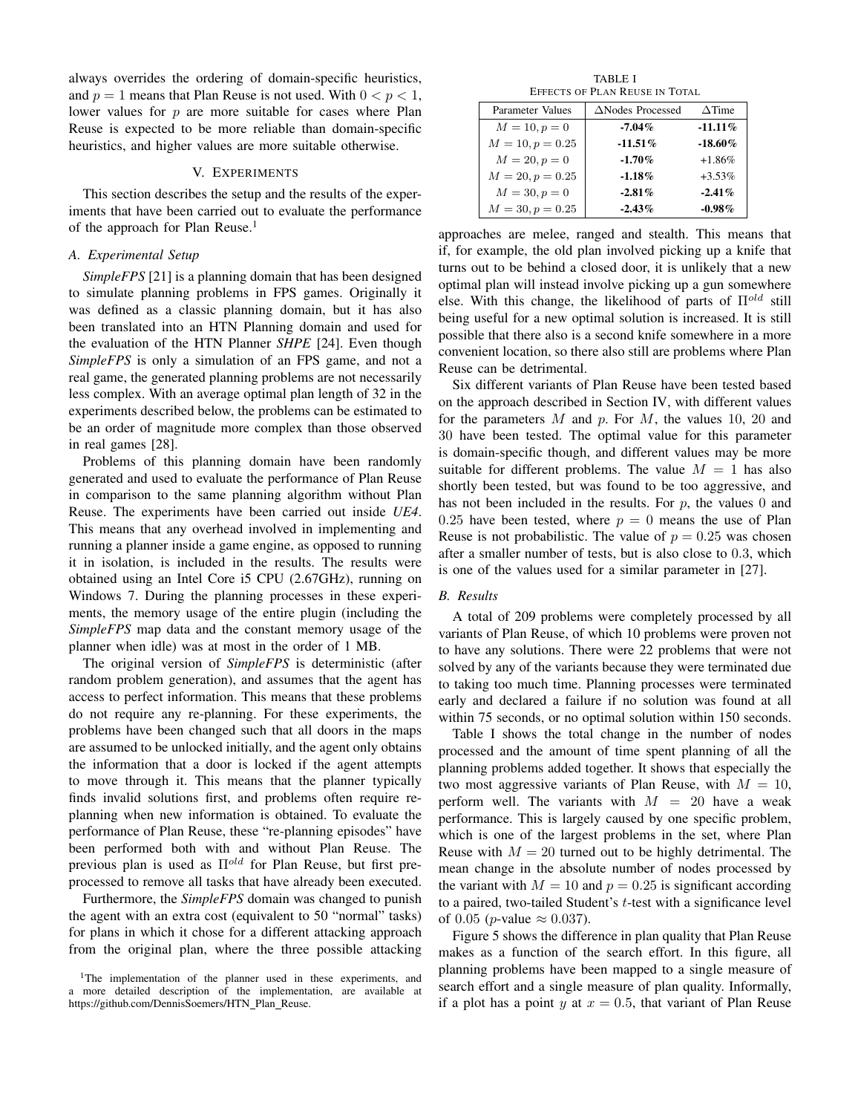always overrides the ordering of domain-specific heuristics, and  $p = 1$  means that Plan Reuse is not used. With  $0 < p < 1$ , lower values for  $p$  are more suitable for cases where Plan Reuse is expected to be more reliable than domain-specific heuristics, and higher values are more suitable otherwise.

# V. EXPERIMENTS

This section describes the setup and the results of the experiments that have been carried out to evaluate the performance of the approach for Plan Reuse.<sup>1</sup>

# *A. Experimental Setup*

*SimpleFPS* [21] is a planning domain that has been designed to simulate planning problems in FPS games. Originally it was defined as a classic planning domain, but it has also been translated into an HTN Planning domain and used for the evaluation of the HTN Planner *SHPE* [24]. Even though *SimpleFPS* is only a simulation of an FPS game, and not a real game, the generated planning problems are not necessarily less complex. With an average optimal plan length of 32 in the experiments described below, the problems can be estimated to be an order of magnitude more complex than those observed in real games [28].

Problems of this planning domain have been randomly generated and used to evaluate the performance of Plan Reuse in comparison to the same planning algorithm without Plan Reuse. The experiments have been carried out inside *UE4*. This means that any overhead involved in implementing and running a planner inside a game engine, as opposed to running it in isolation, is included in the results. The results were obtained using an Intel Core i5 CPU (2.67GHz), running on Windows 7. During the planning processes in these experiments, the memory usage of the entire plugin (including the *SimpleFPS* map data and the constant memory usage of the planner when idle) was at most in the order of 1 MB.

The original version of *SimpleFPS* is deterministic (after random problem generation), and assumes that the agent has access to perfect information. This means that these problems do not require any re-planning. For these experiments, the problems have been changed such that all doors in the maps are assumed to be unlocked initially, and the agent only obtains the information that a door is locked if the agent attempts to move through it. This means that the planner typically finds invalid solutions first, and problems often require replanning when new information is obtained. To evaluate the performance of Plan Reuse, these "re-planning episodes" have been performed both with and without Plan Reuse. The previous plan is used as  $\Pi^{old}$  for Plan Reuse, but first preprocessed to remove all tasks that have already been executed.

Furthermore, the *SimpleFPS* domain was changed to punish the agent with an extra cost (equivalent to 50 "normal" tasks) for plans in which it chose for a different attacking approach from the original plan, where the three possible attacking

TABLE I EFFECTS OF PLAN REUSE IN TOTAL

| Parameter Values   | $\triangle$ Nodes Processed | $\triangle$ Time |
|--------------------|-----------------------------|------------------|
| $M = 10, p = 0$    | $-7.04\%$                   | $-11.11\%$       |
| $M = 10, p = 0.25$ | $-11.51\%$                  | $-18.60\%$       |
| $M = 20, p = 0$    | $-1.70\%$                   | $+1.86%$         |
| $M = 20, p = 0.25$ | $-1.18\%$                   | $+3.53\%$        |
| $M = 30, p = 0$    | $-2.81\%$                   | $-2.41\%$        |
| $M = 30, p = 0.25$ | $-2.43\%$                   | $-0.98\%$        |

approaches are melee, ranged and stealth. This means that if, for example, the old plan involved picking up a knife that turns out to be behind a closed door, it is unlikely that a new optimal plan will instead involve picking up a gun somewhere else. With this change, the likelihood of parts of  $\Pi^{old}$  still being useful for a new optimal solution is increased. It is still possible that there also is a second knife somewhere in a more convenient location, so there also still are problems where Plan Reuse can be detrimental.

Six different variants of Plan Reuse have been tested based on the approach described in Section IV, with different values for the parameters  $M$  and  $p$ . For  $M$ , the values 10, 20 and 30 have been tested. The optimal value for this parameter is domain-specific though, and different values may be more suitable for different problems. The value  $M = 1$  has also shortly been tested, but was found to be too aggressive, and has not been included in the results. For  $p$ , the values 0 and 0.25 have been tested, where  $p = 0$  means the use of Plan Reuse is not probabilistic. The value of  $p = 0.25$  was chosen after a smaller number of tests, but is also close to 0.3, which is one of the values used for a similar parameter in [27].

#### *B. Results*

A total of 209 problems were completely processed by all variants of Plan Reuse, of which 10 problems were proven not to have any solutions. There were 22 problems that were not solved by any of the variants because they were terminated due to taking too much time. Planning processes were terminated early and declared a failure if no solution was found at all within 75 seconds, or no optimal solution within 150 seconds.

Table I shows the total change in the number of nodes processed and the amount of time spent planning of all the planning problems added together. It shows that especially the two most aggressive variants of Plan Reuse, with  $M = 10$ , perform well. The variants with  $M = 20$  have a weak performance. This is largely caused by one specific problem, which is one of the largest problems in the set, where Plan Reuse with  $M = 20$  turned out to be highly detrimental. The mean change in the absolute number of nodes processed by the variant with  $M = 10$  and  $p = 0.25$  is significant according to a paired, two-tailed Student's t-test with a significance level of 0.05 (*p*-value  $\approx$  0.037).

Figure 5 shows the difference in plan quality that Plan Reuse makes as a function of the search effort. In this figure, all planning problems have been mapped to a single measure of search effort and a single measure of plan quality. Informally, if a plot has a point y at  $x = 0.5$ , that variant of Plan Reuse

<sup>&</sup>lt;sup>1</sup>The implementation of the planner used in these experiments, and a more detailed description of the implementation, are available at https://github.com/DennisSoemers/HTN\_Plan\_Reuse.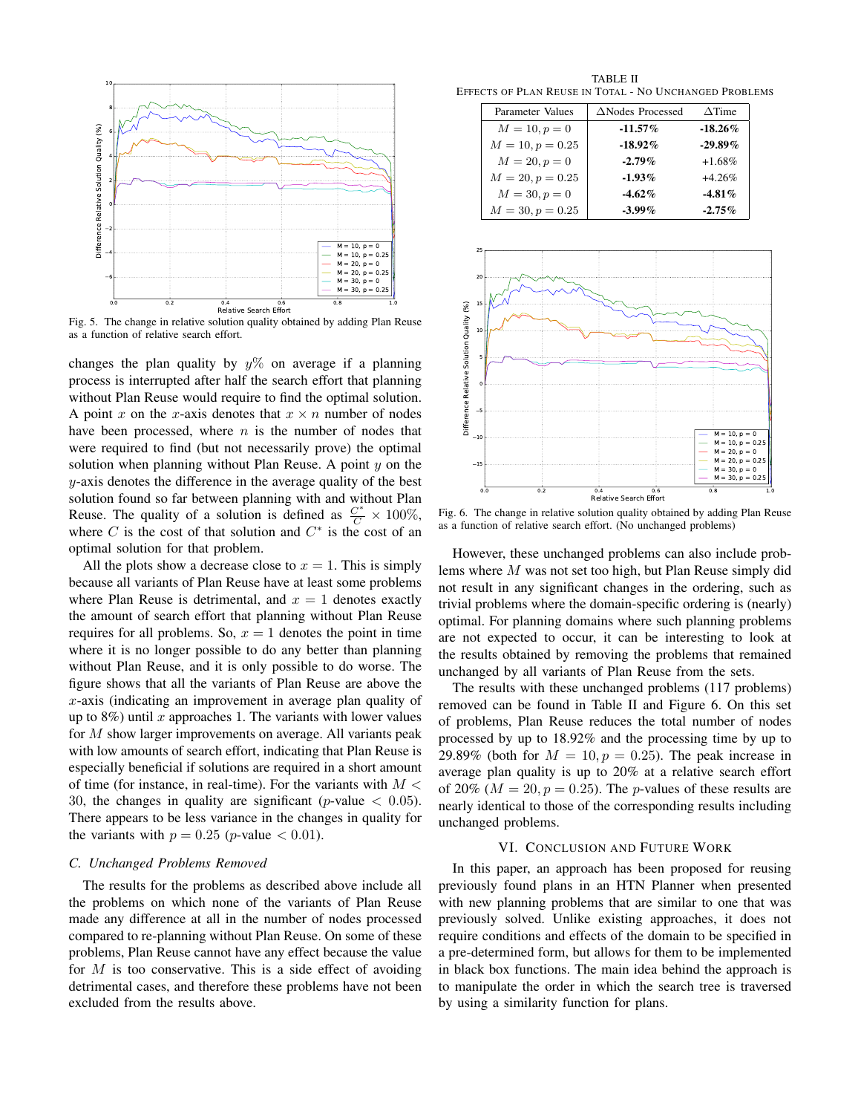

Fig. 5. The change in relative solution quality obtained by adding Plan Reuse as a function of relative search effort.

changes the plan quality by  $y\%$  on average if a planning process is interrupted after half the search effort that planning without Plan Reuse would require to find the optimal solution. A point x on the x-axis denotes that  $x \times n$  number of nodes have been processed, where  $n$  is the number of nodes that were required to find (but not necessarily prove) the optimal solution when planning without Plan Reuse. A point  $y$  on the y-axis denotes the difference in the average quality of the best solution found so far between planning with and without Plan Reuse. The quality of a solution is defined as  $\frac{C^*}{C} \times 100\%$ , where  $C$  is the cost of that solution and  $C^*$  is the cost of an optimal solution for that problem.

All the plots show a decrease close to  $x = 1$ . This is simply because all variants of Plan Reuse have at least some problems where Plan Reuse is detrimental, and  $x = 1$  denotes exactly the amount of search effort that planning without Plan Reuse requires for all problems. So,  $x = 1$  denotes the point in time where it is no longer possible to do any better than planning without Plan Reuse, and it is only possible to do worse. The figure shows that all the variants of Plan Reuse are above the x-axis (indicating an improvement in average plan quality of up to  $8\%$ ) until x approaches 1. The variants with lower values for M show larger improvements on average. All variants peak with low amounts of search effort, indicating that Plan Reuse is especially beneficial if solutions are required in a short amount of time (for instance, in real-time). For the variants with  $M <$ 30, the changes in quality are significant (*p*-value  $\lt$  0.05). There appears to be less variance in the changes in quality for the variants with  $p = 0.25$  (*p*-value  $< 0.01$ ).

#### *C. Unchanged Problems Removed*

The results for the problems as described above include all the problems on which none of the variants of Plan Reuse made any difference at all in the number of nodes processed compared to re-planning without Plan Reuse. On some of these problems, Plan Reuse cannot have any effect because the value for  $M$  is too conservative. This is a side effect of avoiding detrimental cases, and therefore these problems have not been excluded from the results above.

TABLE II EFFECTS OF PLAN REUSE IN TOTAL - NO UNCHANGED PROBLEMS

| Parameter Values   | $\triangle$ Nodes Processed | $\triangle$ Time |
|--------------------|-----------------------------|------------------|
| $M = 10, p = 0$    | $-11.57\%$                  | $-18.26\%$       |
| $M = 10, p = 0.25$ | $-18.92\%$                  | $-29.89\%$       |
| $M = 20, p = 0$    | $-2.79\%$                   | $+1.68\%$        |
| $M = 20, p = 0.25$ | $-1.93\%$                   | $+4.26%$         |
| $M = 30, p = 0$    | $-4.62\%$                   | $-4.81\%$        |
| $M = 30, p = 0.25$ | $-3.99\%$                   | $-2.75\%$        |



Fig. 6. The change in relative solution quality obtained by adding Plan Reuse as a function of relative search effort. (No unchanged problems)

However, these unchanged problems can also include problems where M was not set too high, but Plan Reuse simply did not result in any significant changes in the ordering, such as trivial problems where the domain-specific ordering is (nearly) optimal. For planning domains where such planning problems are not expected to occur, it can be interesting to look at the results obtained by removing the problems that remained unchanged by all variants of Plan Reuse from the sets.

The results with these unchanged problems (117 problems) removed can be found in Table II and Figure 6. On this set of problems, Plan Reuse reduces the total number of nodes processed by up to 18.92% and the processing time by up to 29.89% (both for  $M = 10, p = 0.25$ ). The peak increase in average plan quality is up to 20% at a relative search effort of 20% ( $M = 20$ ,  $p = 0.25$ ). The p-values of these results are nearly identical to those of the corresponding results including unchanged problems.

#### VI. CONCLUSION AND FUTURE WORK

In this paper, an approach has been proposed for reusing previously found plans in an HTN Planner when presented with new planning problems that are similar to one that was previously solved. Unlike existing approaches, it does not require conditions and effects of the domain to be specified in a pre-determined form, but allows for them to be implemented in black box functions. The main idea behind the approach is to manipulate the order in which the search tree is traversed by using a similarity function for plans.